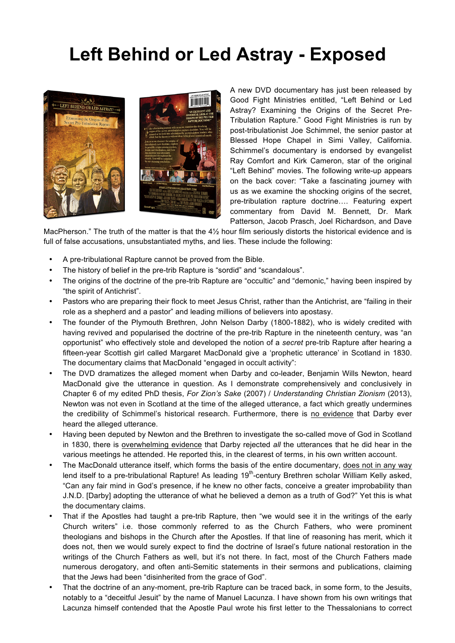## **Left Behind or Led Astray - Exposed**



A new DVD documentary has just been released by Good Fight Ministries entitled, "Left Behind or Led Astray? Examining the Origins of the Secret Pre-Tribulation Rapture." Good Fight Ministries is run by post-tribulationist Joe Schimmel, the senior pastor at Blessed Hope Chapel in Simi Valley, California. Schimmel's documentary is endorsed by evangelist Ray Comfort and Kirk Cameron, star of the original "Left Behind" movies. The following write-up appears on the back cover: "Take a fascinating journey with us as we examine the shocking origins of the secret, pre-tribulation rapture doctrine…. Featuring expert commentary from David M. Bennett, Dr. Mark Patterson, Jacob Prasch, Joel Richardson, and Dave

MacPherson." The truth of the matter is that the 4½ hour film seriously distorts the historical evidence and is full of false accusations, unsubstantiated myths, and lies. These include the following:

- A pre-tribulational Rapture cannot be proved from the Bible.
- The history of belief in the pre-trib Rapture is "sordid" and "scandalous".
- The origins of the doctrine of the pre-trib Rapture are "occultic" and "demonic," having been inspired by "the spirit of Antichrist".
- Pastors who are preparing their flock to meet Jesus Christ, rather than the Antichrist, are "failing in their role as a shepherd and a pastor" and leading millions of believers into apostasy.
- The founder of the Plymouth Brethren, John Nelson Darby (1800-1882), who is widely credited with having revived and popularised the doctrine of the pre-trib Rapture in the nineteenth century, was "an opportunist" who effectively stole and developed the notion of a *secret* pre-trib Rapture after hearing a fifteen-year Scottish girl called Margaret MacDonald give a 'prophetic utterance' in Scotland in 1830. The documentary claims that MacDonald "engaged in occult activity":
- The DVD dramatizes the alleged moment when Darby and co-leader, Benjamin Wills Newton, heard MacDonald give the utterance in question. As I demonstrate comprehensively and conclusively in Chapter 6 of my edited PhD thesis, *For Zion's Sake* (2007) / *Understanding Christian Zionism* (2013), Newton was not even in Scotland at the time of the alleged utterance, a fact which greatly undermines the credibility of Schimmel's historical research. Furthermore, there is no evidence that Darby ever heard the alleged utterance.
- Having been deputed by Newton and the Brethren to investigate the so-called move of God in Scotland in 1830, there is overwhelming evidence that Darby rejected *all* the utterances that he did hear in the various meetings he attended. He reported this, in the clearest of terms, in his own written account.
- The MacDonald utterance itself, which forms the basis of the entire documentary, does not in any way lend itself to a pre-tribulational Rapture! As leading 19<sup>th</sup>-century Brethren scholar William Kelly asked, "Can any fair mind in God's presence, if he knew no other facts, conceive a greater improbability than J.N.D. [Darby] adopting the utterance of what he believed a demon as a truth of God?" Yet this is what the documentary claims.
- That if the Apostles had taught a pre-trib Rapture, then "we would see it in the writings of the early Church writers" i.e. those commonly referred to as the Church Fathers, who were prominent theologians and bishops in the Church after the Apostles. If that line of reasoning has merit, which it does not, then we would surely expect to find the doctrine of Israel's future national restoration in the writings of the Church Fathers as well, but it's not there. In fact, most of the Church Fathers made numerous derogatory, and often anti-Semitic statements in their sermons and publications, claiming that the Jews had been "disinherited from the grace of God".
- That the doctrine of an any-moment, pre-trib Rapture can be traced back, in some form, to the Jesuits, notably to a "deceitful Jesuit" by the name of Manuel Lacunza. I have shown from his own writings that Lacunza himself contended that the Apostle Paul wrote his first letter to the Thessalonians to correct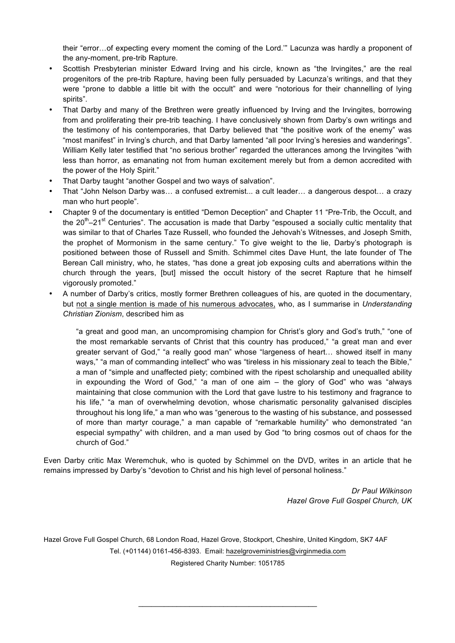their "error…of expecting every moment the coming of the Lord.'" Lacunza was hardly a proponent of the any-moment, pre-trib Rapture.

- Scottish Presbyterian minister Edward Irving and his circle, known as "the Irvingites," are the real progenitors of the pre-trib Rapture, having been fully persuaded by Lacunza's writings, and that they were "prone to dabble a little bit with the occult" and were "notorious for their channelling of lying spirits".
- That Darby and many of the Brethren were greatly influenced by Irving and the Irvingites, borrowing from and proliferating their pre-trib teaching. I have conclusively shown from Darby's own writings and the testimony of his contemporaries, that Darby believed that "the positive work of the enemy" was "most manifest" in Irving's church, and that Darby lamented "all poor Irving's heresies and wanderings". William Kelly later testified that "no serious brother" regarded the utterances among the Irvingites "with less than horror, as emanating not from human excitement merely but from a demon accredited with the power of the Holy Spirit."
- That Darby taught "another Gospel and two ways of salvation".
- That "John Nelson Darby was… a confused extremist... a cult leader… a dangerous despot… a crazy man who hurt people".
- Chapter 9 of the documentary is entitled "Demon Deception" and Chapter 11 "Pre-Trib, the Occult, and the 20<sup>th</sup>–21<sup>st</sup> Centuries". The accusation is made that Darby "espoused a socially cultic mentality that was similar to that of Charles Taze Russell, who founded the Jehovah's Witnesses, and Joseph Smith, the prophet of Mormonism in the same century." To give weight to the lie, Darby's photograph is positioned between those of Russell and Smith. Schimmel cites Dave Hunt, the late founder of The Berean Call ministry, who, he states, "has done a great job exposing cults and aberrations within the church through the years, [but] missed the occult history of the secret Rapture that he himself vigorously promoted."
- A number of Darby's critics, mostly former Brethren colleagues of his, are quoted in the documentary, but not a single mention is made of his numerous advocates, who, as I summarise in *Understanding Christian Zionism*, described him as

"a great and good man, an uncompromising champion for Christ's glory and God's truth," "one of the most remarkable servants of Christ that this country has produced," "a great man and ever greater servant of God," "a really good man" whose "largeness of heart… showed itself in many ways," "a man of commanding intellect" who was "tireless in his missionary zeal to teach the Bible," a man of "simple and unaffected piety; combined with the ripest scholarship and unequalled ability in expounding the Word of God," "a man of one aim – the glory of God" who was "always maintaining that close communion with the Lord that gave lustre to his testimony and fragrance to his life," "a man of overwhelming devotion, whose charismatic personality galvanised disciples throughout his long life," a man who was "generous to the wasting of his substance, and possessed of more than martyr courage," a man capable of "remarkable humility" who demonstrated "an especial sympathy" with children, and a man used by God "to bring cosmos out of chaos for the church of God."

Even Darby critic Max Weremchuk, who is quoted by Schimmel on the DVD, writes in an article that he remains impressed by Darby's "devotion to Christ and his high level of personal holiness."

> *Dr Paul Wilkinson Hazel Grove Full Gospel Church, UK*

Hazel Grove Full Gospel Church, 68 London Road, Hazel Grove, Stockport, Cheshire, United Kingdom, SK7 4AF Tel. (+01144) 0161-456-8393. Email: hazelgroveministries@virginmedia.com Registered Charity Number: 1051785

\_\_\_\_\_\_\_\_\_\_\_\_\_\_\_\_\_\_\_\_\_\_\_\_\_\_\_\_\_\_\_\_\_\_\_\_\_\_\_\_\_\_